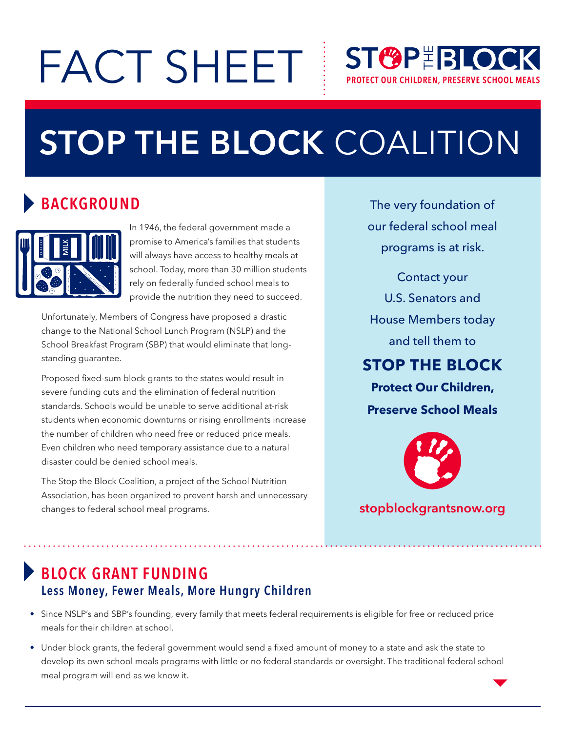# FACT SHEET

## **ST&P RLOCK PROTECT OUR CHILDREN, PRESERVE SCHOOL MEALS**

## **STOP THE BLOCK** COALITION

## **BACKGROUND**



In 1946, the federal government made a promise to America's families that students will always have access to healthy meals at school. Today, more than 30 million students rely on federally funded school meals to provide the nutrition they need to succeed.

Unfortunately, Members of Congress have proposed a drastic change to the National School Lunch Program (NSLP) and the School Breakfast Program (SBP) that would eliminate that longstanding guarantee.

Proposed fixed-sum block grants to the states would result in severe funding cuts and the elimination of federal nutrition standards. Schools would be unable to serve additional at-risk students when economic downturns or rising enrollments increase the number of children who need free or reduced price meals. Even children who need temporary assistance due to a natural disaster could be denied school meals.

The Stop the Block Coalition, a project of the School Nutrition Association, has been organized to prevent harsh and unnecessary changes to federal school meal programs.

The very foundation of our federal school meal programs is at risk.

Contact your U.S. Senators and House Members today and tell them to **STOP THE BLOCK**

**Protect Our Children, Preserve School Meals**



#### **stopblockgrantsnow.org**

## **BLOCK GRANT FUNDING Less Money, Fewer Meals, More Hungry Children**

- Since NSLP's and SBP's founding, every family that meets federal requirements is eligible for free or reduced price meals for their children at school.
- • Under block grants, the federal government would send a fixed amount of money to a state and ask the state to develop its own school meals programs with little or no federal standards or oversight. The traditional federal school meal program will end as we know it.